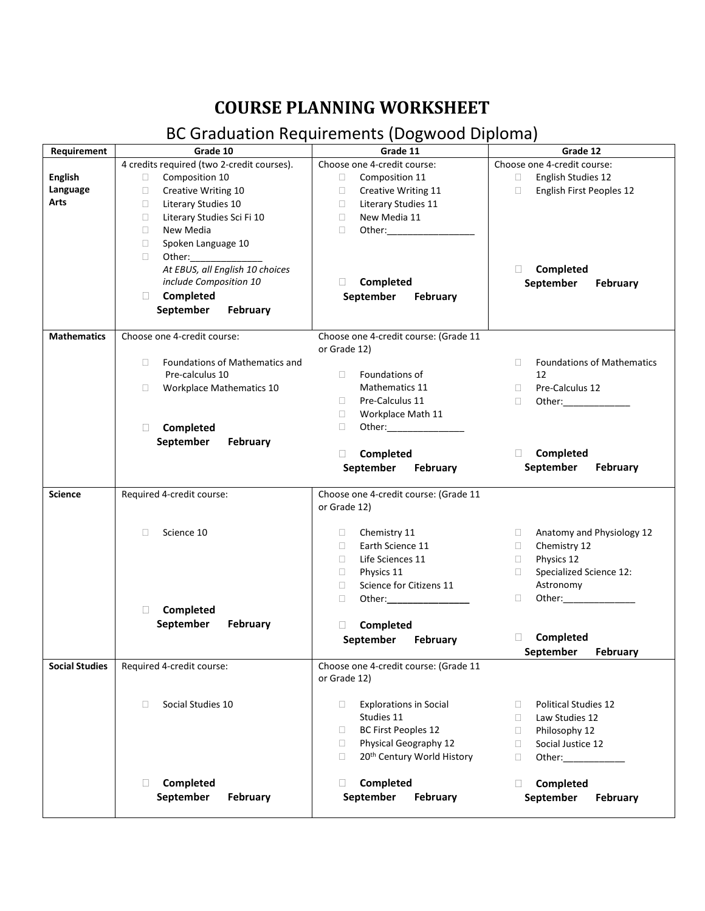## **COURSE PLANNING WORKSHEET**

## BC Graduation Requirements (Dogwood Diploma)

| Requirement           | Grade 10                                   | Grade 11                                                                                                                                                                                                                                 | Grade 12                                    |
|-----------------------|--------------------------------------------|------------------------------------------------------------------------------------------------------------------------------------------------------------------------------------------------------------------------------------------|---------------------------------------------|
|                       | 4 credits required (two 2-credit courses). | Choose one 4-credit course:                                                                                                                                                                                                              | Choose one 4-credit course:                 |
| <b>English</b>        | Composition 10<br>$\Box$                   | Composition 11<br>$\Box$                                                                                                                                                                                                                 | English Studies 12<br>$\Box$                |
| Language              | Creative Writing 10<br>$\Box$              | Creative Writing 11<br>$\Box$                                                                                                                                                                                                            | English First Peoples 12<br>$\Box$          |
| Arts                  | Literary Studies 10<br>$\Box$              | Literary Studies 11<br>$\Box$                                                                                                                                                                                                            |                                             |
|                       | Literary Studies Sci Fi 10<br>$\Box$       | New Media 11<br>$\Box$                                                                                                                                                                                                                   |                                             |
|                       | New Media<br>$\Box$                        | $\Box$                                                                                                                                                                                                                                   |                                             |
|                       | Spoken Language 10<br>$\Box$               |                                                                                                                                                                                                                                          |                                             |
|                       |                                            |                                                                                                                                                                                                                                          |                                             |
|                       | $\Box$                                     |                                                                                                                                                                                                                                          |                                             |
|                       | At EBUS, all English 10 choices            |                                                                                                                                                                                                                                          | Completed<br>$\mathbf{L}$                   |
|                       | include Composition 10                     | Completed<br>$\Box$                                                                                                                                                                                                                      | September<br>February                       |
|                       | Completed<br>П.                            | September<br>February                                                                                                                                                                                                                    |                                             |
|                       | September<br>February                      |                                                                                                                                                                                                                                          |                                             |
| <b>Mathematics</b>    | Choose one 4-credit course:                | Choose one 4-credit course: (Grade 11                                                                                                                                                                                                    |                                             |
|                       |                                            |                                                                                                                                                                                                                                          |                                             |
|                       |                                            | or Grade 12)                                                                                                                                                                                                                             |                                             |
|                       | Foundations of Mathematics and<br>$\Box$   |                                                                                                                                                                                                                                          | <b>Foundations of Mathematics</b><br>$\Box$ |
|                       | Pre-calculus 10                            | Foundations of<br>$\Box$                                                                                                                                                                                                                 | 12                                          |
|                       | <b>Workplace Mathematics 10</b><br>$\Box$  | Mathematics 11                                                                                                                                                                                                                           | Pre-Calculus 12<br>$\Box$                   |
|                       |                                            | Pre-Calculus 11<br>$\Box$                                                                                                                                                                                                                | $\Box$                                      |
|                       |                                            | Workplace Math 11<br>$\Box$                                                                                                                                                                                                              |                                             |
|                       | П<br>Completed                             | $\Box$<br>Other: and the control of the control of the control of the control of the control of the control of the control of the control of the control of the control of the control of the control of the control of the control of t |                                             |
|                       | September<br>February                      |                                                                                                                                                                                                                                          |                                             |
|                       |                                            | Completed<br>$\Box$                                                                                                                                                                                                                      | Completed<br>$\mathbf{1}$                   |
|                       |                                            | September February                                                                                                                                                                                                                       | September<br>February                       |
|                       |                                            |                                                                                                                                                                                                                                          |                                             |
| <b>Science</b>        | Required 4-credit course:                  | Choose one 4-credit course: (Grade 11<br>or Grade 12)                                                                                                                                                                                    |                                             |
|                       | Science 10<br>$\Box$                       | Chemistry 11<br>$\Box$                                                                                                                                                                                                                   | Anatomy and Physiology 12<br>$\Box$         |
|                       |                                            | Earth Science 11<br>$\Box$                                                                                                                                                                                                               | Chemistry 12<br>$\Box$                      |
|                       |                                            | Life Sciences 11<br>$\Box$                                                                                                                                                                                                               | Physics 12<br>$\Box$                        |
|                       |                                            | Physics 11<br>$\Box$                                                                                                                                                                                                                     | Specialized Science 12:<br>$\Box$           |
|                       |                                            | Science for Citizens 11<br>$\Box$                                                                                                                                                                                                        | Astronomy                                   |
|                       |                                            |                                                                                                                                                                                                                                          |                                             |
|                       | П<br>Completed                             | Other:___________________<br>$\Box$                                                                                                                                                                                                      | $\Box$                                      |
|                       |                                            |                                                                                                                                                                                                                                          |                                             |
|                       | September<br>February                      | Completed<br>$\Box$                                                                                                                                                                                                                      |                                             |
|                       |                                            | September<br>February                                                                                                                                                                                                                    | Completed<br>П.                             |
|                       |                                            |                                                                                                                                                                                                                                          | September<br>February                       |
| <b>Social Studies</b> | Required 4-credit course:                  | Choose one 4-credit course: (Grade 11                                                                                                                                                                                                    |                                             |
|                       |                                            | or Grade 12)                                                                                                                                                                                                                             |                                             |
|                       | Social Studies 10<br>$\Box$                | <b>Explorations in Social</b><br>□                                                                                                                                                                                                       | <b>Political Studies 12</b><br>$\Box$       |
|                       |                                            | Studies 11                                                                                                                                                                                                                               | Law Studies 12<br>$\Box$                    |
|                       |                                            | $\Box$                                                                                                                                                                                                                                   |                                             |
|                       |                                            | BC First Peoples 12                                                                                                                                                                                                                      | Philosophy 12<br>$\Box$                     |
|                       |                                            | Physical Geography 12<br>$\Box$                                                                                                                                                                                                          | Social Justice 12<br>$\Box$                 |
|                       |                                            | 20 <sup>th</sup> Century World History<br>$\Box$                                                                                                                                                                                         | Other:<br>$\Box$                            |
|                       |                                            |                                                                                                                                                                                                                                          |                                             |
|                       | Completed<br>O                             | Completed<br>Ш                                                                                                                                                                                                                           | Completed<br>$\Box$                         |
|                       | September<br><b>February</b>               | September<br>February                                                                                                                                                                                                                    | September<br>February                       |
|                       |                                            |                                                                                                                                                                                                                                          |                                             |